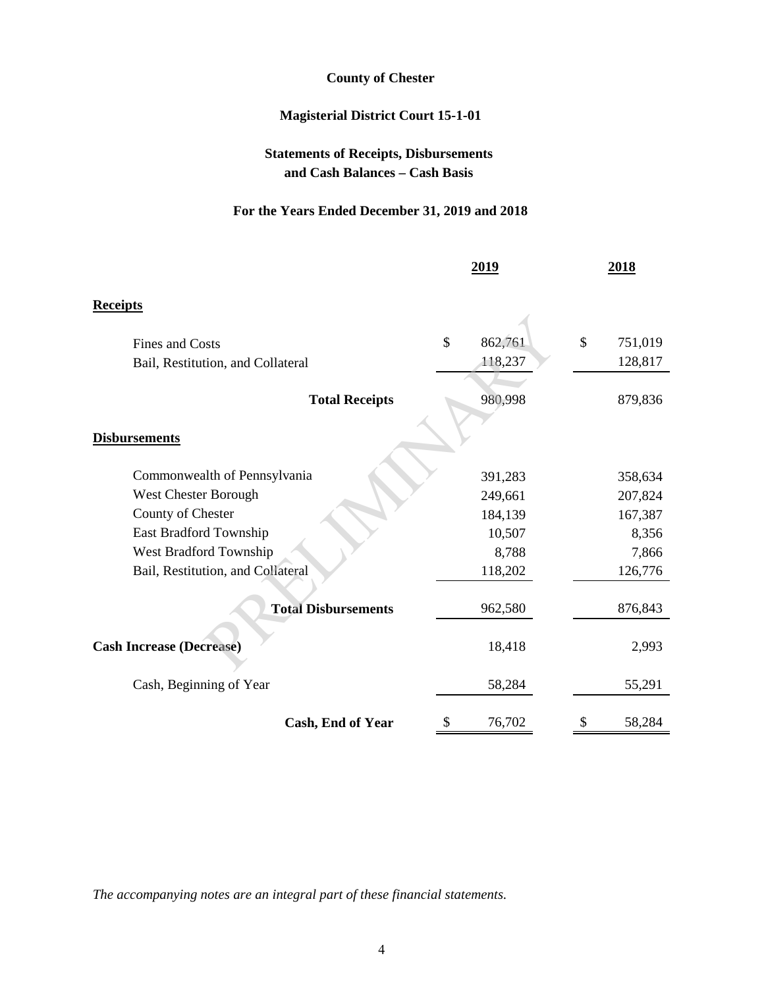# **County of Chester**

# **Magisterial District Court 15-1-01**

# **Statements of Receipts, Disbursements and Cash Balances – Cash Basis**

## **For the Years Ended December 31, 2019 and 2018**

|                                   | 2019    |         | 2018 |         |
|-----------------------------------|---------|---------|------|---------|
| <b>Receipts</b>                   |         |         |      |         |
| <b>Fines and Costs</b>            | \$      | 862,761 | \$   | 751,019 |
| Bail, Restitution, and Collateral |         | 118,237 |      | 128,817 |
| <b>Total Receipts</b>             |         | 980,998 |      | 879,836 |
| <b>Disbursements</b>              |         |         |      |         |
| Commonwealth of Pennsylvania      |         | 391,283 |      | 358,634 |
| <b>West Chester Borough</b>       |         | 249,661 |      | 207,824 |
| County of Chester                 |         | 184,139 |      | 167,387 |
| East Bradford Township            | 10,507  |         |      | 8,356   |
| West Bradford Township            | 8,788   |         |      | 7,866   |
| Bail, Restitution, and Collateral | 118,202 |         |      | 126,776 |
| <b>Total Disbursements</b>        |         | 962,580 |      | 876,843 |
| <b>Cash Increase (Decrease)</b>   |         | 18,418  |      | 2,993   |
| Cash, Beginning of Year           |         | 58,284  |      | 55,291  |
| Cash, End of Year                 | \$      | 76,702  | \$   | 58,284  |

*The accompanying notes are an integral part of these financial statements.*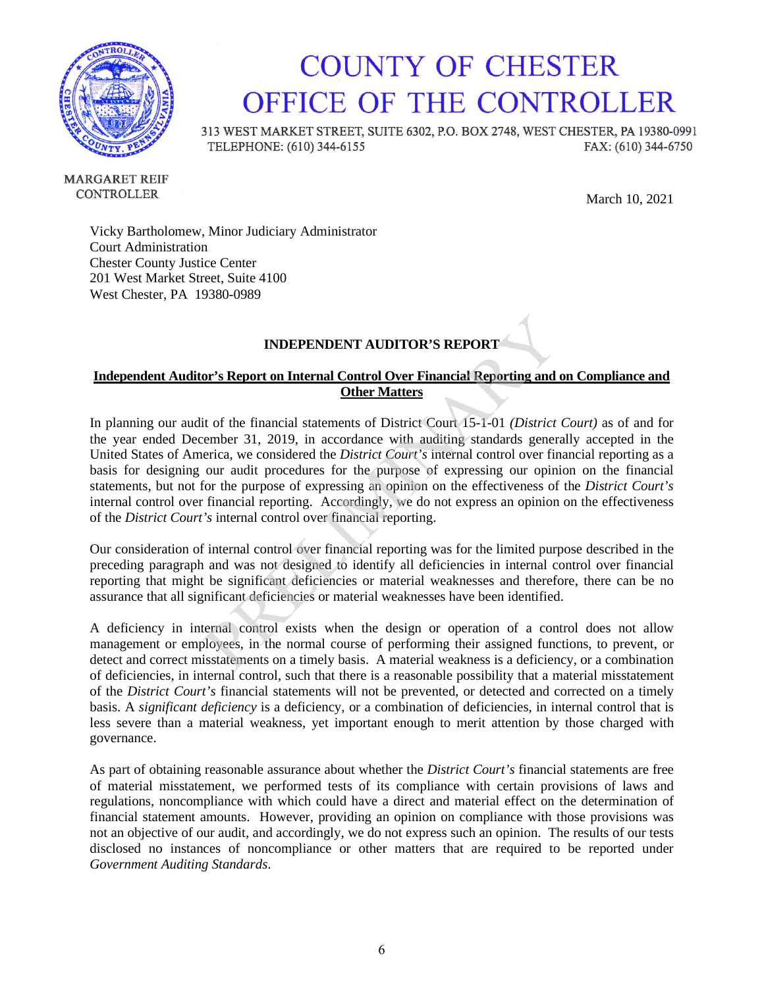

# **COUNTY OF CHESTER** OFFICE OF THE CONTROLLER

313 WEST MARKET STREET, SUITE 6302, P.O. BOX 2748, WEST CHESTER, PA 19380-0991 TELEPHONE: (610) 344-6155 FAX: (610) 344-6750

**MARGARET REIF** CONTROLLER

March 1, 2021

Vicky Bartholomew, Minor Judiciary Administrator Court Administration Chester County Justice Center 201 West Market Street, Suite 4100 West Chester, PA 19380-0989

#### **INDEPENDENT AUDITOR'S REPORT**

#### **Independent Auditor's Report on Internal Control Over Financial Reporting and on Compliance and Other Matters**

In planning our audit of the financial statements of District Court 15-1-01 *(District Court)* as of and for the year ended December 31, 2019, in accordance with auditing standards generally accepted in the United States of America, we considered the *District Court's* internal control over financial reporting as a basis for designing our audit procedures for the purpose of expressing our opinion on the financial statements, but not for the purpose of expressing an opinion on the effectiveness of the *District Court's* internal control over financial reporting. Accordingly, we do not express an opinion on the effectiveness of the *District Court's* internal control over financial reporting.

Our consideration of internal control over financial reporting was for the limited purpose described in the preceding paragraph and was not designed to identify all deficiencies in internal control over financial reporting that might be significant deficiencies or material weaknesses and therefore, there can be no assurance that all significant deficiencies or material weaknesses have been identified.

A deficiency in internal control exists when the design or operation of a control does not allow management or employees, in the normal course of performing their assigned functions, to prevent, or detect and correct misstatements on a timely basis. A material weakness is a deficiency, or a combination of deficiencies, in internal control, such that there is a reasonable possibility that a material misstatement of the *District Court's* financial statements will not be prevented, or detected and corrected on a timely basis. A *significant deficiency* is a deficiency, or a combination of deficiencies, in internal control that is less severe than a material weakness, yet important enough to merit attention by those charged with governance.

As part of obtaining reasonable assurance about whether the *District Court's* financial statements are free of material misstatement, we performed tests of its compliance with certain provisions of laws and regulations, noncompliance with which could have a direct and material effect on the determination of financial statement amounts. However, providing an opinion on compliance with those provisions was not an objective of our audit, and accordingly, we do not express such an opinion. The results of our tests disclosed no instances of noncompliance or other matters that are required to be reported under *Government Auditing Standards*.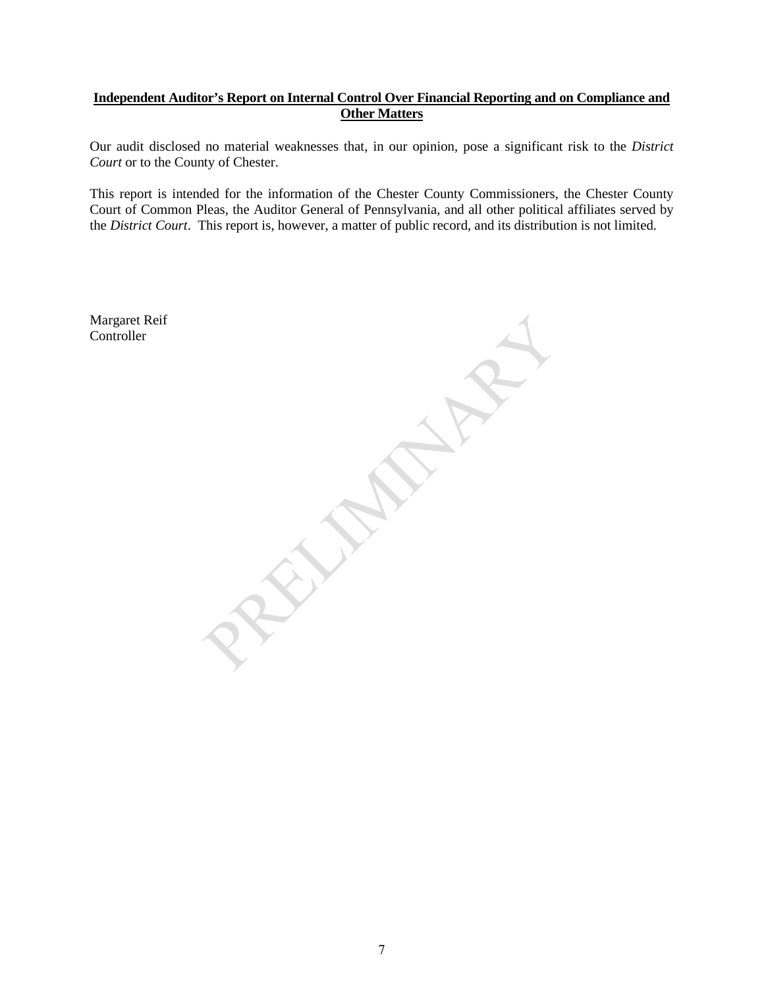#### **Independent Auditor's Report on Internal Control Over Financial Reporting and on Compliance and Other Matters**

Our audit disclosed no material weaknesses that, in our opinion, pose a significant risk to the *District Court* or to the County of Chester.

This report is intended for the information of the Chester County Commissioners, the Chester County Court of Common Pleas, the Auditor General of Pennsylvania, and all other political affiliates served by the *District Court*. This report is, however, a matter of public record, and its distribution is not limited.

Margaret Reif **Controller**